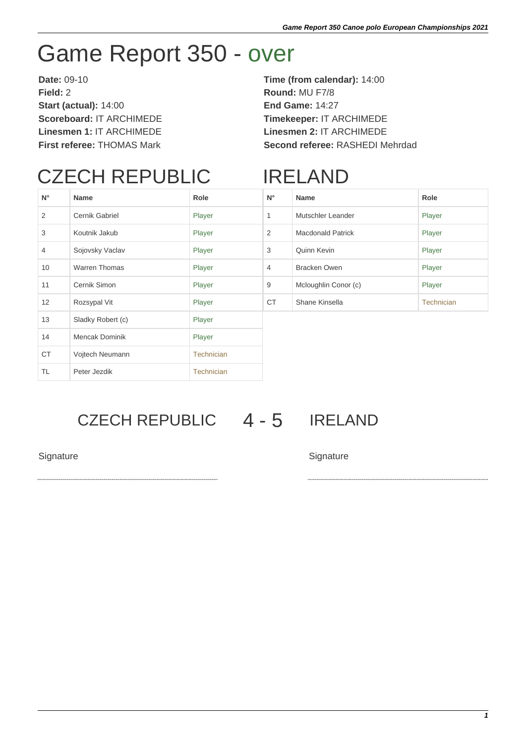# Game Report 350 - over

**Date:** 09-10 **Time (from calendar):** 14:00 **Field:** 2 **Round:** MU F7/8 **Start (actual):** 14:00 **End Game:** 14:27 **Scoreboard:** IT ARCHIMEDE **Timekeeper:** IT ARCHIMEDE **Linesmen 1:** IT ARCHIMEDE **Linesmen 2:** IT ARCHIMEDE

**First referee:** THOMAS Mark **Second referee:** RASHEDI Mehrdad

## CZECH REPUBLIC

### IRELAND

| $N^{\circ}$    | <b>Name</b>           | Role              | $N^{\circ}$    | <b>Name</b>              | Role       |
|----------------|-----------------------|-------------------|----------------|--------------------------|------------|
| 2              | Cernik Gabriel        | Player            | 1              | Mutschler Leander        | Player     |
| 3              | Koutnik Jakub         | Player            | 2              | <b>Macdonald Patrick</b> | Player     |
| $\overline{4}$ | Sojovsky Vaclav       | Player            | 3              | Quinn Kevin              | Player     |
| 10             | <b>Warren Thomas</b>  | Player            | $\overline{4}$ | <b>Bracken Owen</b>      | Player     |
| 11             | Cernik Simon          | Player            | 9              | Mcloughlin Conor (c)     | Player     |
| 12             | Rozsypal Vit          | Player            | <b>CT</b>      | Shane Kinsella           | Technician |
| 13             | Sladky Robert (c)     | Player            |                |                          |            |
| 14             | <b>Mencak Dominik</b> | Player            |                |                          |            |
| <b>CT</b>      | Vojtech Neumann       | <b>Technician</b> |                |                          |            |
| <b>TL</b>      | Peter Jezdik          | <b>Technician</b> |                |                          |            |

#### CZECH REPUBLIC 4 - 5 IRELAND

Signature Signature Signature Signature Signature Signature Signature Signature